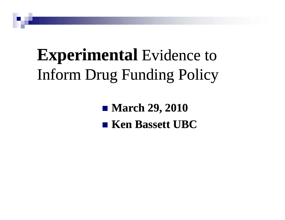# **Experimental** Evidence to Inform Drug Funding Policy

 **March 29, 2010 Ken Bassett UBC Bassett**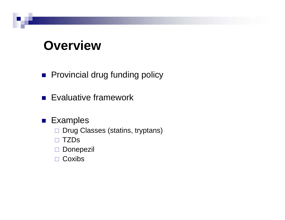#### **Overview**

- **Provincial drug funding policy**
- **Exaluative framework**
- Examples
	- □ Drug Classes (statins, tryptans)
	- TZDs
	- □ Donepezil
	- □ Coxibs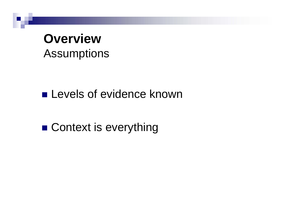#### **OverviewAssumptions**

 $\blacksquare$  Levels of evidence known

 $\blacksquare$  Context is everything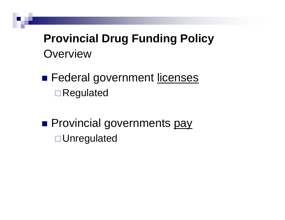**Provincial Drug Funding Policy Overview** 

- Federal government licenses □Regulated
- **Provincial governments pay** □ Unregulated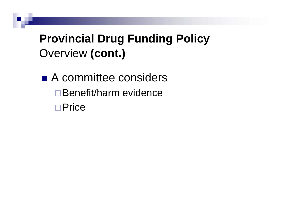#### **Provincial Drug Funding Policy** Overview **(cont.)**

■ A committee considers □ Benefit/harm evidence □Price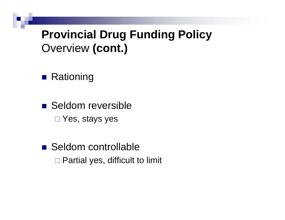#### **Provincial Drug Funding Policy** Overview **(cont.)**

**■ Rationing** 

■ Seldom reversible Yes, stays yes

■ Seldom controllable □ Partial yes, difficult to limit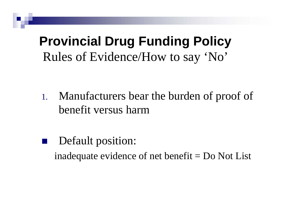## **Provincial Drug Funding Policy** Rules of Evidence/How to say 'No'

- 1.Manufacturers bear the burden of proof of benefit versus harm
- Default position: inadequate evidence of net benefit  $=$  Do Not List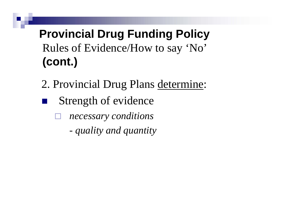#### **Provincial Drug Funding Policy**  Rules of Evidence/How to say 'No' **(cont.)**

- 2. Provincial Drug Plans determine:
- **Strength of evidence** 
	- $\Box$  *necessary conditions*
		- *quality and quantity*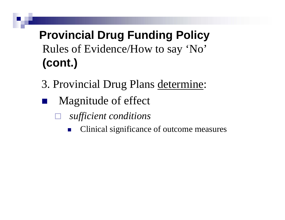#### **Provincial Drug Funding Policy** Rules of Evidence/How to say 'No' **( ) cont.**

- 3. Provincial Drug Plans determine:
- Magnitude of effect
	- $\Box$  *sufficient conditions*
		- p. Clinical significance of outcome measures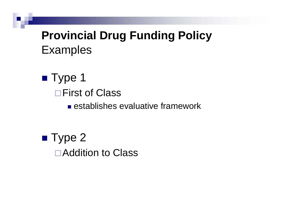#### **Provincial Drug Funding Policy** Examples

- Type 1 **□First of Class** 
	- **E** establishes evaluative framework
- $\blacksquare$  Type 2 □ Addition to Class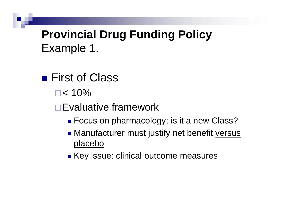#### **Provincial Drug Funding Policy** Example 1.

- First of Class
	- $\square$  < 10%
	- **□Evaluative framework** 
		- $\blacksquare$  Focus on pharmacology; is it a new Class?
		- Manufacturer must justify net benefit versus placebo
		- Key issue: clinical outcome measures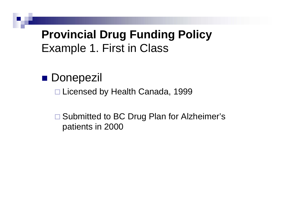#### **Provincial Drug Funding Policy** Example 1. First in Class

■ Donepezil

□ Licensed by Health Canada, 1999

□ Submitted to BC Drug Plan for Alzheimer's patients in 2000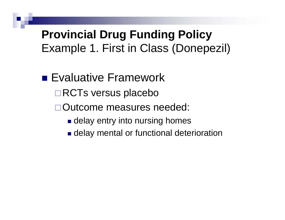#### **Provincial Drug Funding Policy** Example 1. First in Class (Donepezil)

- Evaluative Framework
	- **□RCTs versus placebo**
	- Outcome measures needed:
		- $\blacksquare$  delay entry into nursing homes
		- **Example 1 delay mental or functional deterioration**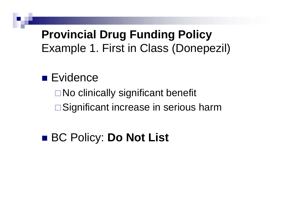#### **Provincial Drug Funding Policy** Example 1. First in Class (Donepezil)

#### ■ Evidence

□ No clinically significant benefit **□ Significant increase in serious harm** 

### ■ BC Policy: **Do Not List**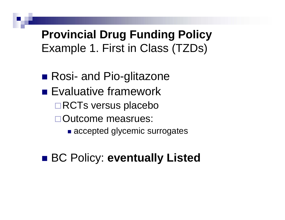#### **Provincial Drug Funding Policy** Example 1. First in Class (TZDs)

- Rosi- and Pio-glitazone
- **Exaluative framework** □RCTs versus placebo Outcome measrues:
	- **Exercepted glycemic surrogates**

#### BC Policy: **eventually Listed**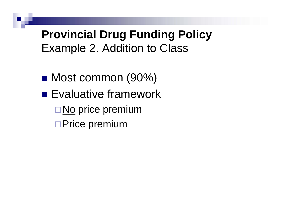- Most common (90%)
- **Exaluative framework** 
	- **□ <u>No</u> price premium**
	- □Price premium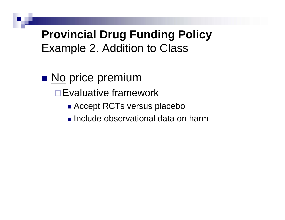- **No price premium** 
	- **□Evaluative framework** 
		- Accept RCTs versus placebo
		- **Include observational data on harm**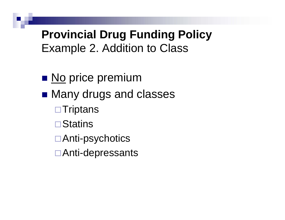- **No price premium**
- Many drugs and classes
	- $\Box$ Triptans
	- **□**Statins
	- Anti-psychotics
	- Anti-depressants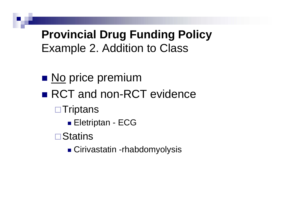- **No price premium**
- $\blacksquare$  RCT and non-RCT evidence
	- $\Box$ Triptans
		- Eletriptan ECG
	- **□Statins** 
		- Cirivastatin -rhabdomyolysis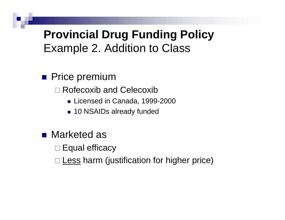**Price premium** 

□ Rofecoxib and Celecoxib

- Licensed in Canada, 1999-2000
- 10 NSAIDs already funded
- Marketed as

 $\square$  Equal efficacy

□ Less harm (justification for higher price)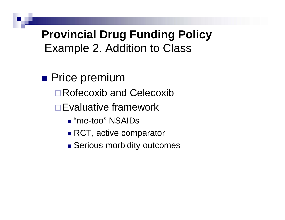- **Price premium** 
	- **□ Rofecoxib and Celecoxib**
	- **□Evaluative framework** 
		- "me-too" NSAIDs
		- RCT, active comparator
		- **Burgious morbidity outcomes**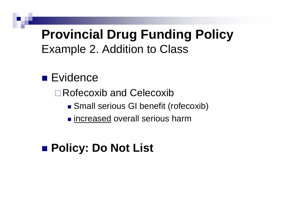# **Provincial Drug Funding Policy**

Example 2. Addition to Class

#### ■ Evidence

**□ Rofecoxib and Celecoxib** 

- Small serious GI benefit (rofecoxib)
- **n** increased overall serious harm

#### **Policy: Do Not List**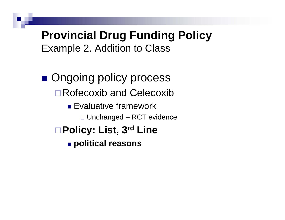**Ongoing policy process □ Rofecoxib and Celecoxib** 

- **Evaluative framework**  $\Box$  Unchanged – RCT evidence
- **Policy: List, 3rd Line**

**political reasons**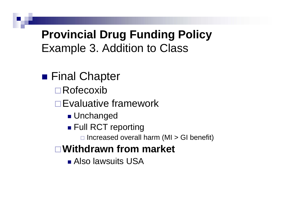■ Final Chapter

- Rofecoxib
- **□Evaluative framework** 
	- Unchanged
	- Full RCT reporting
		- $\Box$  Increased overall harm (MI > GI benefit)

#### **Withdrawn from market**

Also lawsuits USA